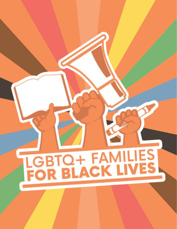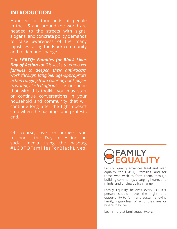### **INTRODUCTION**

Hundreds of thousands of people in the US and around the world are headed to the streets with signs, slogans, and concrete policy demands to raise awareness of the many injustices facing the Black community and to demand change.

*Our LGBTQ+ Families for Black Lives Day of Action toolkit seeks to empower families to deepen their anti-racism work through tangible, age-appropriate action ranging from coloring book pages to writing elected officials.* It is our hope that with this toolkit, you may start or continue conversations in your household and community that will continue long after the fight doesn't stop when the hashtags and protests end.

Of course, we encourage you to boost the Day of Action on social media using the hashtag #LGBTQFamiliesForBlackLives.

## FAMILY UALI

Family Equality advances legal and lived equality for LGBTQ+ families, and for those who wish to form them, through building community, changing hearts and minds, and driving policy change.

Family Equality believes every LGBTQ+ person should have the right and opportunity to form and sustain a loving family, regardless of who they are or where they live.

Learn more at [familyequality.org](http://familyequality.org).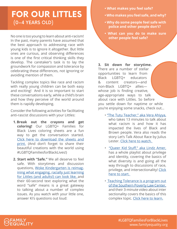## **FOR OUR LITTLES** (0–4 YEARS OLD)

No one is too young to learn about anti-racism! In the past, many parents have assumed that the best approach to addressing race with young kids is to ignore it altogether. But little ones are curious, and observing differences is one of the first critical thinking skills they develop. The caretaker's task is to lay the groundwork for compassion and tolerance by celebrating these differences, not ignoring or avoiding mention of them.

Tackling complex topics like race and racism with really young children can be both easy and exciting! And it is so important to start these conversations early, while a child's brain and how they perceive of the world around them is rapidly developing.

Consider the following activities for facilitating anti-rascist discussions with your Littles:

- **1. Break out the crayons and get coloring!** Our LGBTQ+ Families for Black Lives coloring sheets are a fun way to get the conversation started. [Click here to download the sheets and](https://www.familyequality.org/wp-content/uploads/2020/06/ColoringBookDayofAction.pdf) [print.](https://www.familyequality.org/wp-content/uploads/2020/06/ColoringBookDayofAction.pdf) (And don't forget to share their beautiful creations with the world using #LGBTQFamiliesforBlackLives!)
- **2. Start with "Safe."** We all deserve to feel safe. With storytimes and discussion questions, [Woke Kindergarten is reimag](https://www.wokekindergarten.org/60secondtexts)[ining what engaging, racially just learning](https://www.wokekindergarten.org/60secondtexts) [for Littles \(and adults!\) can look like, a](https://www.wokekindergarten.org/60secondtexts)nd their 60-second text exploring what the word "safe" means is a great gateway to talking about a number of complex issues. As you watch with your little one, answer Ki's questions out loud:
- **What makes you feel safe?**
- **Who makes you feel safe, and why?**
- **Why do some people feel safe with police and other people don't?**
- **What can you do to make sure other people feel safe?**

**3. Sit down for storytime.** There are a number of stellar opportunities to learn from Black LGBTQ+ educators & content creators—and non-Black LGBTQ+ allies whose job is finding creative, age-appropriate ways to talk about race with Littles. So before you settle down for naptime or while you're enjoying some snacks, check out…

- ["The Tutu Teacher," aka Vera Ahiyya,](http://www.thetututeacher.com/)  who takes 13 minutes to talk about what racism is and how it has impacted the lives of Black and Brown people. Vera also reads the story Let's Talk About Race by Julius Lester. [Click here to watch.](https://www.youtube.com/watch?v=1vHymutysWU)
- ["Queer Kid Stuff," aka Lindz Amer,](https://www.youtube.com/watch?v=0v61bf2C8-4&list=PL-4ZNlY41iPoMFP6ZDUFdWBuHRyPoOV8l&index=10)  has a whole playlist about privilege and identity, covering the basics of what diversity is and going all the way through to discussions of race, privilege, and intersectionality! Click [here to start.](https://www.youtube.com/watch?v=0v61bf2C8-4&list=PL-4ZNlY41iPoMFP6ZDUFdWBuHRyPoOV8l&index=10)
- [Teaching Tolerance is a program out](https://www.youtube.com/watch?v=w6dnj2IyYjE)  [of the Southern Poverty Law Center,](https://www.youtube.com/watch?v=w6dnj2IyYjE)  and their 3-minute video about inter sectionality covers the basics of this complex topic. [Click here to learn.](https://www.youtube.com/watch?v=w6dnj2IyYjE)

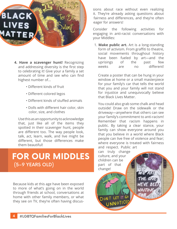

- **4. Have a scavenger hunt!** Recognizing and addressing diversity is the first step to celebrating it! Give your a family a set amount of time and see who can find highest number of...
	- Different kinds of fruit
	- Different colored legos
	- Different kinds of stuffed animals
	- Dolls with different hair color, skin color, size, and clothes

Use this as an opportunity to acknowledge that, just like all of the items they spotted in their scavenger hunt, people are different too. The way people look, talk, act, learn, walk, and live might be different, but those differences make them beautiful!

## **FOR OUR MIDDLES** (5–9 YEARS OLD)

Because kids at this age have been exposed to more of what's going on in the world through friends at school, conversations at home with other family members, or what they see on TV, they're often having discussions about race without even realizing it. They're already asking questions about fairness and differences, and they're often eager for answers!

Consider the following activities for engaging in anti-racist conversations with your Middles:

1. **Make public art.** Art is a long-standing form of activism. From graffiti to theatre, social movements throughout history have been fueled by art—and the uprisings of the past few weeks are no different!

Create a poster that can be hung in your window at home or a small masterpiece for your family's car that tells the world that you and your family will not stand for injustice and unequivocally believe that Black Lives Matter.

You could also grab some chalk and head outside! Draw on the sidewalk or the driveway—anywhere that others can see your family's commitment to anti-racism! Remember that racism happens in public. By taking a clear stance, your family can show everyone around you that you believe in a world where Black people can live free of violence and fear; where everyone is treated with fairness and respect. Public art

can truly change culture, and your children can be part of that change!

> DONT LET IT GO UNNOTI

WE ARE THE ONE. WE'VE BEE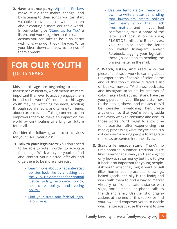**2. Have a dance party.** [Alphabet Rockers](https://alphabetrockers.com/) make music that makes change, and by listening to their songs you can start valuable conversations with children about creating a more equitable world. In particular, give ["Stand Up for You" a](https://www.youtube.com/watch?v=iQp6KY2wqjo) listen, and work together to think about actions you can take to be in solidarity with folks who don't look like you. Write your ideas down and vow to do two of them a week!

## **FOR OUR YOUTH** (10–15 YEARS

Kids at this age are beginning to cement their sense of identity, which means it's more important than ever to actively engage them in anti-racist work. Of course, at this age, youth may be watching the news, scrolling through social media, and talking to friends about current events. Taking concrete action empowers them to make an impact on the world by contributing to a brighter future for us all.

Consider the following anti-racist activities for your 10–15 year olds:

- **1. Talk to your legislators!** You don't need to be able to vote in order to advocate for change. Work with your youth to find and contact your elected officials and urge them to be more anti-racist!
	- [Learn more about what anti-racist](https://www.naacp.org/campaigns/we-are-done-dying/) [policies look like by checking out](https://www.naacp.org/campaigns/we-are-done-dying/) [the NAACP's demands for criminal](https://www.naacp.org/campaigns/we-are-done-dying/) [justice policy, economic policy,](https://www.naacp.org/campaigns/we-are-done-dying/) [healthcare policy, and voting](https://www.naacp.org/campaigns/we-are-done-dying/) [policy.](https://www.naacp.org/campaigns/we-are-done-dying/)
	- [Find your state and federal legis](https://www.familyequality.org/elected-officials-lookup/)[lators here.](https://www.familyequality.org/elected-officials-lookup/)
- [Use our template \(or create your](https://www.familyequality.org/wp-content/uploads/2020/06/LettertoElectedOfficials.pdf) [own!\) to write a letter demanding](https://www.familyequality.org/wp-content/uploads/2020/06/LettertoElectedOfficials.pdf) [that lawmakers create policies](https://www.familyequality.org/wp-content/uploads/2020/06/LettertoElectedOfficials.pdf) [that clearly show that Black](https://www.familyequality.org/wp-content/uploads/2020/06/LettertoElectedOfficials.pdf) [lives matter,](https://www.familyequality.org/wp-content/uploads/2020/06/LettertoElectedOfficials.pdf) and if you feel comfortable, take a photo of the letter and post it online using #LGBTQFamiliesforBlackLives. You can also post the letter on Twitter, Instagram, and/or Facebook, tagging your legislator there (in addition to sending the physical letter in the mail.
- **2. Watch, listen, and read.** A crucial piece of anti-racist work is learning about the experiences of people of color. At the end of this toolkit, we've curated a list of books, movies, TV shows, podcasts, and Instagram accounts by creators of color. Take a look at that list and have the young person in your life put a star next to the books, shows, and movies they'd be interested in watching. Then, create a calendar so that you're setting aside time every week to consume and discuss those works. Don't forget to allow time for discussion after experiencing the media; processing what they've seen is a critical way for young people to integrate the ideas presented into their lives.
- **3. Start a lemonade stand.** There's no time-honored summer tradition quite like the lemonade stand, and learning not only how to raise money but how to give it back is so important for young people. Ask youth what they might want to sell (like homemade bracelets, drawings, baked goods...the sky is the limit!) and work with them to find a way to market virtually or from a safe distance with signs, social media, or phone calls to friends and family. Use the list of organizations at the end of this toolkit or find your own and empower youth to decide which anti-racist cause they want to give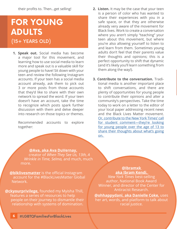their profits to. Then...get selling!

## **FOR YOUNG ADULTS** (15+ YEARS OLD)

**1. Speak out.** Social media has become a major tool for this movement, and learning how to use social media to learn more and speak out is a valuable skill for young people to have! Sit down with your teen and review the following Instagram accounts. If your teen has a social media account already, ask them to pick out 3 or more posts from those accounts that they'd like to share with their own network to spread the word. If your teen doesn't have an account, take the time to recognize which posts spark further discussion with them and delve deeper into research on those topics or themes.

Recommended accounts to explore together:

- **2. Listen.** It may be the case that your teen is a person of color who has wanted to share their experiences with you in a safe space, or that they are otherwise already very aware of the movement for Black lives. Work to create a conversation where you aren't simply "teaching" your teen about this movement, but where you're also allowing yourself to listen to and learn from them. Sometimes young adults don't feel that their parents value their thoughts and opinions; this is a perfect opportunity to shift that dynamic (and it's likely you'll learn something from them along the way!).
- **3. Contribute to the conversation.** Traditional media is another important place to shift conversations, and there are plenty of opportunities for young people to contribute their opinions and alter a community's perspectives. Take the time today to work on a letter to the editor of your local paper addressing recent news and the Black Lives Matter movement. [Or, contribute to the New York Times' call](https://www.nytimes.com/2020/06/01/learning/what-is-your-reaction-to-the-days-of-protest-that-have-followed-the-death-of-george-floyd.html) [for student comment—they're looking](https://www.nytimes.com/2020/06/01/learning/what-is-your-reaction-to-the-days-of-protest-that-have-followed-the-death-of-george-floyd.html) [for young people over the age of 13 to](https://www.nytimes.com/2020/06/01/learning/what-is-your-reaction-to-the-days-of-protest-that-have-followed-the-death-of-george-floyd.html) [share their thoughts about what's going](https://www.nytimes.com/2020/06/01/learning/what-is-your-reaction-to-the-days-of-protest-that-have-followed-the-death-of-george-floyd.html) [on.](https://www.nytimes.com/2020/06/01/learning/what-is-your-reaction-to-the-days-of-protest-that-have-followed-the-death-of-george-floyd.html)

**[@Ava, aka Ava DuVernay,](https://twitter.com/ava)** creator of *When They See Us, 13th, A Wrinkle in Time, Selma,* and much, much more.

**[@blklivesmatter](https://www.instagram.com/blklivesmatter/)** is the official Instagram account for the #BlackLivesMatter Global Network.

**[@ckyourprivilege,](https://www.instagram.com/ckyourprivilege/?hl=en)** founded my Myisha Thill, features a series of resources to help people on their journey to dismantle their relationship with systems of domination.

#### **[@Ibramxk](https://www.instagram.com/ibramxk/?hl=en)  [aka Ibram Kendi,](https://www.instagram.com/ibramxk/?hl=en)**

*New York Times* best-selling author, National Book Award Winner, and director of the Center for Antiracist Research.

**[@ohhappydani, aka Danielle Coke,](https://www.instagram.com/ohhappydani/)** uses her art, words, and platform to talk about racial justice.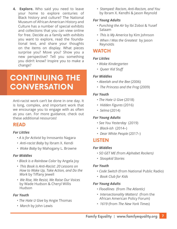**4. Explore.** Who said you need to leave your home to explore centuries of Black history and culture? The National Museum of African American History and Culture has a number of special exhibits and collections that you can view online for free. Decide as a family with exhibits you want to explore, read the foundational text, and share your thoughts on the items on display. What pieces surprise you? Move you? Show you a new perspective? Tell you something you didn't know? Inspire you to make a change?

# **CONTINUING THE CONVERSATION**

Anti-racist work can't be done in one day. It is long, complex, and important work that we encourage you to engage with as often as you can. For more guidance, check out these additional resources!

### **READ**

#### *For Littles*

- *A is for Activist* by Innosanto Nagara
- *Anti-racist Baby* by Ibram X. Kendi
- *Woke Baby* by Mahogany L. Browne

#### *For Middles*

- *Black is a Rainbow Color* by Angela Joy
- *This Book is Anti-Racist: 20 Lessons on How to Wake Up, Take Action, and Do the Work* by Tiffany Jewell
- *We Rise, We Resist, We Raise Our Voices* by Wade Hudson & Cheryl Willis Hudson

#### *For Youth*

- *The Hate U Give* by Angie Thomas
- *March* by John Lewis

• *Stamped: Racism, Anti-Racism, and You*  by Ibram X. Kendhi & Jason Reynold

#### *For Young Adults*

- *Punching the Air* by Ibi Zoboi & Yusef Salaam
- *This is My America* by Kim Johnson
- *When I Was the Greatest* by Jason Reynolds

### **WATCH**

#### *For Littles*

- *Woke Kindergarten*
- *Queer Kid Stuff*

#### *For Middles*

- *Akeelah and the Bee* (2006)
- *The Princess and the Frog* (2009)

#### *For Youth*

- *The Hate U Give* (2018)
- *Hidden Figures* (2016)
- *Selma* (2014)

### *For Young Adults*

- *See You Yesterday* (2019)
- *Black-ish* (2014–)
- *Dear White People* (2017–)

### **LISTEN**

#### *For Middles*

- *SO GET ME (*from *Alphabet Rockers)*
- *Stoopkid Stories*

#### *For Youth*

- *Code Switch* (from National Public Radio)
- *Book Club for Kids*

#### *For Young Adults*

- *Floodlines* (from *The Atlantic)*
- *Intersectionality Matters!* (from the African American Policy Forum)
- *1619* (from *The New York Times*)